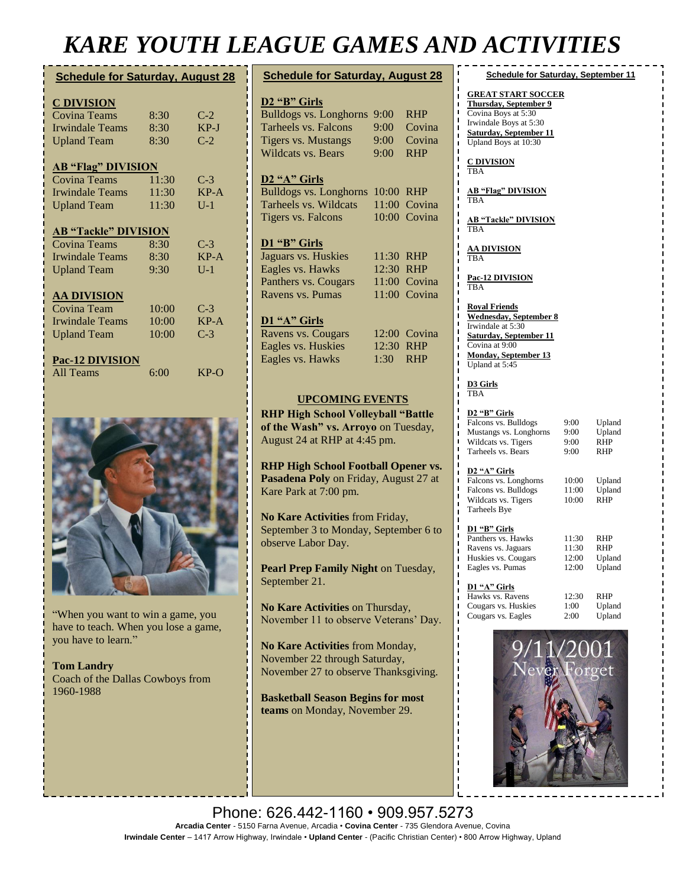## *KARE YOUTH LEAGUE GAMES AND ACTIVITIES*

| <b>Schedule for Saturday, August 28</b> |       |        |  |
|-----------------------------------------|-------|--------|--|
| <b>C DIVISION</b>                       |       |        |  |
| Covina Teams                            | 8:30  | $C-2$  |  |
| <b>Irwindale Teams</b>                  | 8:30  | $KP-J$ |  |
| <b>Upland Team</b>                      | 8:30  | $C-2$  |  |
| <b>AB "Flag" DIVISION</b>               |       |        |  |
| <b>Covina Teams</b>                     | 11:30 | $C-3$  |  |
| <b>Irwindale Teams</b>                  | 11:30 | $KP-A$ |  |
| <b>Upland Team</b>                      | 11:30 | $U-1$  |  |
| <b>AB "Tackle" DIVISION</b>             |       |        |  |
| Covina Teams                            | 8:30  | $C-3$  |  |
| <b>Irwindale Teams</b>                  | 8:30  | $KP-A$ |  |
| <b>Upland Team</b>                      | 9:30  | $U-1$  |  |
| <b>AA DIVISION</b>                      |       |        |  |
| Covina Team                             | 10:00 | $C-3$  |  |
| <b>Irwindale Teams</b>                  | 10:00 | $KP-A$ |  |
| <b>Upland Team</b>                      | 10:00 | $C-3$  |  |
| <b>Pac-12 DIVISION</b>                  |       |        |  |
| All Teams                               | 6:00  | $KP-O$ |  |



"When you want to win a game, you have to teach. When you lose a game, you have to learn."

**[Tom Landry](https://www.brainyquote.com/authors/tom-landry-quotes)** Coach of the Dallas Cowboys from 1960-1988

| <b>Schedule for Saturday, August 28</b>    |       |              |  |  |
|--------------------------------------------|-------|--------------|--|--|
| D <sub>2</sub> "B" Girls                   |       |              |  |  |
| <b>Bulldogs vs. Longhorns</b>              | 9:00  | <b>RHP</b>   |  |  |
| Tarheels vs. Falcons                       | 9:00  | Covina       |  |  |
| <b>Tigers vs. Mustangs</b>                 | 9:00  | Covina       |  |  |
| <b>Wildcats vs. Bears</b>                  | 9:00  | <b>RHP</b>   |  |  |
|                                            |       |              |  |  |
| D <sub>2</sub> "A" Girls                   |       |              |  |  |
| <b>Bulldogs vs. Longhorns</b>              | 10:00 | <b>RHP</b>   |  |  |
| Tarheels vs. Wildcats                      | 11:00 | Covina       |  |  |
| <b>Tigers vs. Falcons</b>                  | 10:00 | Covina       |  |  |
|                                            |       |              |  |  |
| D1 "B" Girls                               |       |              |  |  |
| Jaguars vs. Huskies                        | 11:30 | <b>RHP</b>   |  |  |
| Eagles vs. Hawks                           | 12:30 | <b>RHP</b>   |  |  |
| Panthers vs. Cougars                       |       | 11:00 Covina |  |  |
| Ravens vs. Pumas                           | 11:00 | Covina       |  |  |
|                                            |       |              |  |  |
| D1 "A" Girls                               |       |              |  |  |
| Ravens vs. Cougars                         |       | 12:00 Covina |  |  |
| Eagles vs. Huskies                         | 12:30 | <b>RHP</b>   |  |  |
| Eagles vs. Hawks                           | 1:30  | <b>RHP</b>   |  |  |
|                                            |       |              |  |  |
|                                            |       |              |  |  |
| <b>UPCOMING EVENTS</b>                     |       |              |  |  |
| <b>RHP High School Volleyball "Battle</b>  |       |              |  |  |
| of the Wash" vs. Arroyo on Tuesday,        |       |              |  |  |
| August 24 at RHP at 4:45 pm.               |       |              |  |  |
|                                            |       |              |  |  |
| <b>RHP High School Football Opener vs.</b> |       |              |  |  |
| Pasadena Poly on Friday, August 27 at      |       |              |  |  |
| Kare Park at 7:00 pm.                      |       |              |  |  |
|                                            |       |              |  |  |
| No Kare Activities from Friday,            |       |              |  |  |
| September 3 to Monday, September 6 to      |       |              |  |  |
| observe Labor Day.                         |       |              |  |  |
|                                            |       |              |  |  |
| Pearl Prep Family Night on Tuesday,        |       |              |  |  |
| September 21.                              |       |              |  |  |
|                                            |       |              |  |  |
| No Kare Activities on Thursday,            |       |              |  |  |
| November 11 to observe Veterans' Day.      |       |              |  |  |
|                                            |       |              |  |  |
|                                            |       |              |  |  |

**No Kare Activities** from Monday, November 22 through Saturday, November 27 to observe Thanksgiving.

**Basketball Season Begins for most teams** on Monday, November 29.

**GREAT START SOCCER Thursday, September 9** Covina Boys at 5:30 Irwindale Boys at 5:30 **Saturday, September 11** Upland Boys at 10:30 **C DIVISION** TBA **AB "Flag" DIVISION** TBA

**Schedule for Saturday, September 11**

**AB "Tackle" DIVISION** TBA

**AA DIVISION** TBA

**Pac-12 DIVISION** TBA

**Royal Friends Wednesday, September 8** Irwindale at 5:30 **Saturday, September 11** Covina at 9:00 **Monday, September 13** Upland at 5:45

**D3 Girls** TBA

| D <sub>2</sub> "B" Girls |      |            |
|--------------------------|------|------------|
| Falcons vs. Bulldogs     | 9:00 | Upland     |
| Mustangs vs. Longhorns   | 9:00 | Upland     |
| Wildcats vs. Tigers      | 9:00 | <b>RHP</b> |
| Tarheels vs. Bears       | 9:00 | <b>RHP</b> |
|                          |      |            |

#### **D2 "A" Girls**

Falcons vs. Longhorns 10:00 Upland Falcons vs. Bulldogs 11:00 Upland<br>Wildcats vs. Tigers 10:00 RHP Wildcats vs. Tigers Tarheels Bye

### **D1 "B" Girls**

| Panthers vs. Hawks  | 11:30 | <b>RHP</b> |
|---------------------|-------|------------|
| Ravens vs. Jaguars  | 11:30 | <b>RHP</b> |
| Huskies vs. Cougars | 12:00 | Upland     |
| Eagles vs. Pumas    | 12:00 | Upland     |
|                     |       |            |
| D1 "A" Girls        |       |            |
| Hawks vs. Ravens    | 12:30 | RHP        |

| Hawks vs. Ravens    | 12:30 | <b>RHP</b> |
|---------------------|-------|------------|
| Cougars vs. Huskies | 1:00  | Upland     |
| Cougars vs. Eagles  | 2:00  | Upland     |
|                     |       |            |



Phone: 626.442-1160 • 909.957.5273 **Arcadia Center** - 5150 Farna Avenue, Arcadia • **Covina Center** - 735 Glendora Avenue, Covina **Irwindale Center** – 1417 Arrow Highway, Irwindale • **Upland Center** - (Pacific Christian Center) • 800 Arrow Highway, Upland